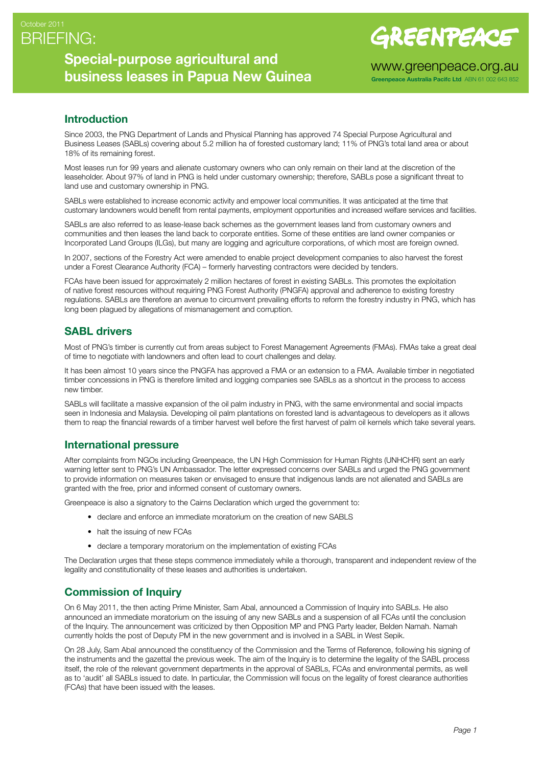## BRIEFING: October 2011

## **Special-purpose agricultural and business leases in Papua New Guinea**

# GREENPEACE

www.greenpeace.org.au

**Greenpeace Australia Pacifc Ltd** ABN 61 002 643 852

#### **Introduction**

Since 2003, the PNG Department of Lands and Physical Planning has approved 74 Special Purpose Agricultural and Business Leases (SABLs) covering about 5.2 million ha of forested customary land; 11% of PNG's total land area or about 18% of its remaining forest.

Most leases run for 99 years and alienate customary owners who can only remain on their land at the discretion of the leaseholder. About 97% of land in PNG is held under customary ownership; therefore, SABLs pose a significant threat to land use and customary ownership in PNG.

SABLs were established to increase economic activity and empower local communities. It was anticipated at the time that customary landowners would benefit from rental payments, employment opportunities and increased welfare services and facilities.

SABLs are also referred to as lease-lease back schemes as the government leases land from customary owners and communities and then leases the land back to corporate entities. Some of these entities are land owner companies or Incorporated Land Groups (ILGs), but many are logging and agriculture corporations, of which most are foreign owned.

In 2007, sections of the Forestry Act were amended to enable project development companies to also harvest the forest under a Forest Clearance Authority (FCA) – formerly harvesting contractors were decided by tenders.

FCAs have been issued for approximately 2 million hectares of forest in existing SABLs. This promotes the exploitation of native forest resources without requiring PNG Forest Authority (PNGFA) approval and adherence to existing forestry regulations. SABLs are therefore an avenue to circumvent prevailing efforts to reform the forestry industry in PNG, which has long been plagued by allegations of mismanagement and corruption.

### **SABL drivers**

Most of PNG's timber is currently cut from areas subject to Forest Management Agreements (FMAs). FMAs take a great deal of time to negotiate with landowners and often lead to court challenges and delay.

It has been almost 10 years since the PNGFA has approved a FMA or an extension to a FMA. Available timber in negotiated timber concessions in PNG is therefore limited and logging companies see SABLs as a shortcut in the process to access new timber.

SABLs will facilitate a massive expansion of the oil palm industry in PNG, with the same environmental and social impacts seen in Indonesia and Malaysia. Developing oil palm plantations on forested land is advantageous to developers as it allows them to reap the financial rewards of a timber harvest well before the first harvest of palm oil kernels which take several years.

#### **International pressure**

After complaints from NGOs including Greenpeace, the UN High Commission for Human Rights (UNHCHR) sent an early warning letter sent to PNG's UN Ambassador. The letter expressed concerns over SABLs and urged the PNG government to provide information on measures taken or envisaged to ensure that indigenous lands are not alienated and SABLs are granted with the free, prior and informed consent of customary owners.

Greenpeace is also a signatory to the Cairns Declaration which urged the government to:

- declare and enforce an immediate moratorium on the creation of new SABLS
- halt the issuing of new FCAs
- declare a temporary moratorium on the implementation of existing FCAs

The Declaration urges that these steps commence immediately while a thorough, transparent and independent review of the legality and constitutionality of these leases and authorities is undertaken.

### **Commission of Inquiry**

On 6 May 2011, the then acting Prime Minister, Sam Abal, announced a Commission of Inquiry into SABLs. He also announced an immediate moratorium on the issuing of any new SABLs and a suspension of all FCAs until the conclusion of the Inquiry. The announcement was criticized by then Opposition MP and PNG Party leader, Belden Namah. Namah currently holds the post of Deputy PM in the new government and is involved in a SABL in West Sepik.

On 28 July, Sam Abal announced the constituency of the Commission and the Terms of Reference, following his signing of the instruments and the gazettal the previous week. The aim of the Inquiry is to determine the legality of the SABL process itself, the role of the relevant government departments in the approval of SABLs, FCAs and environmental permits, as well as to 'audit' all SABLs issued to date. In particular, the Commission will focus on the legality of forest clearance authorities (FCAs) that have been issued with the leases.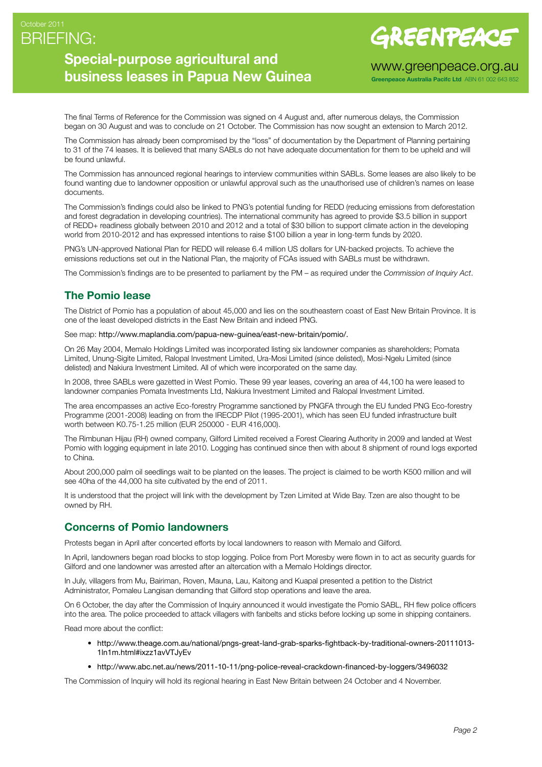## BRIEFING: October 2011

# **Special-purpose agricultural and business leases in Papua New Guinea**

GREENPEACE

www.greenpeace.org.au

**Greenpeace Australia Pacifc Ltd** ABN 61 002 643 852

The final Terms of Reference for the Commission was signed on 4 August and, after numerous delays, the Commission began on 30 August and was to conclude on 21 October. The Commission has now sought an extension to March 2012.

The Commission has already been compromised by the "loss" of documentation by the Department of Planning pertaining to 31 of the 74 leases. It is believed that many SABLs do not have adequate documentation for them to be upheld and will be found unlawful.

The Commission has announced regional hearings to interview communities within SABLs. Some leases are also likely to be found wanting due to landowner opposition or unlawful approval such as the unauthorised use of children's names on lease documents.

The Commission's findings could also be linked to PNG's potential funding for REDD (reducing emissions from deforestation and forest degradation in developing countries). The international community has agreed to provide \$3.5 billion in support of REDD+ readiness globally between 2010 and 2012 and a total of \$30 billion to support climate action in the developing world from 2010-2012 and has expressed intentions to raise \$100 billion a year in long-term funds by 2020.

PNG's UN-approved National Plan for REDD will release 6.4 million US dollars for UN-backed projects. To achieve the emissions reductions set out in the National Plan, the majority of FCAs issued with SABLs must be withdrawn.

The Commission's findings are to be presented to parliament by the PM – as required under the *Commission of Inquiry Act*.

## **The Pomio lease**

The District of Pomio has a population of about 45,000 and lies on the southeastern coast of East New Britain Province. It is one of the least developed districts in the East New Britain and indeed PNG.

See map: <http://www.maplandia.com/papua-new-guinea/east-new-britain/pomio/>.

On 26 May 2004, Memalo Holdings Limited was incorporated listing six landowner companies as shareholders; Pomata Limited, Unung-Sigite Limited, Ralopal Investment Limited, Ura-Mosi Limited (since delisted), Mosi-Ngelu Limited (since delisted) and Nakiura Investment Limited. All of which were incorporated on the same day.

In 2008, three SABLs were gazetted in West Pomio. These 99 year leases, covering an area of 44,100 ha were leased to landowner companies Pomata Investments Ltd, Nakiura Investment Limited and Ralopal Investment Limited.

The area encompasses an active Eco-forestry Programme sanctioned by PNGFA through the EU funded PNG Eco-forestry Programme (2001-2008) leading on from the IRECDP Pilot (1995-2001), which has seen EU funded infrastructure built worth between K0.75-1.25 million (EUR 250000 - EUR 416,000).

The Rimbunan Hijau (RH) owned company, Gilford Limited received a Forest Clearing Authority in 2009 and landed at West Pomio with logging equipment in late 2010. Logging has continued since then with about 8 shipment of round logs exported to China.

About 200,000 palm oil seedlings wait to be planted on the leases. The project is claimed to be worth K500 million and will see 40ha of the 44,000 ha site cultivated by the end of 2011.

It is understood that the project will link with the development by Tzen Limited at Wide Bay. Tzen are also thought to be owned by RH.

#### **Concerns of Pomio landowners**

Protests began in April after concerted efforts by local landowners to reason with Memalo and Gilford.

In April, landowners began road blocks to stop logging. Police from Port Moresby were flown in to act as security guards for Gilford and one landowner was arrested after an altercation with a Memalo Holdings director.

In July, villagers from Mu, Bairiman, Roven, Mauna, Lau, Kaitong and Kuapal presented a petition to the District Administrator, Pomaleu Langisan demanding that Gilford stop operations and leave the area.

On 6 October, the day after the Commission of Inquiry announced it would investigate the Pomio SABL, RH flew police officers into the area. The police proceeded to attack villagers with fanbelts and sticks before locking up some in shipping containers.

Read more about the conflict:

- [http://www.theage.com.au/national/pngs-great-land-grab-sparks-fightback-by-traditional-owners-20111013-](http://www.theage.com.au/national/pngs-great-land-grab-sparks-fightback-by-traditional-owners-20111013-1ln1m.html#ixzz1avVTJyEv ) [1ln1m.html#ixzz1avVTJyEv](http://www.theage.com.au/national/pngs-great-land-grab-sparks-fightback-by-traditional-owners-20111013-1ln1m.html#ixzz1avVTJyEv )
- • [http://www.abc.net.au/news/2011-10-11/png-police-reveal-crackdown-financed-by-loggers/3496032](http://www.abc.net.au/news/2011-10-11/png-police-reveal-crackdown-financed-by-loggers/3496032)

The Commission of Inquiry will hold its regional hearing in East New Britain between 24 October and 4 November.